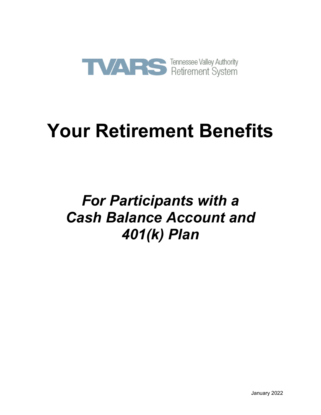

# **Your Retirement Benefits**

## *For Participants with a Cash Balance Account and 401(k) Plan*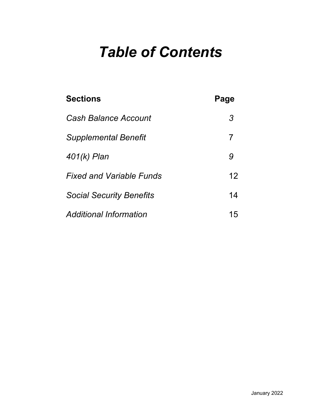## *Table of Contents*

| <b>Sections</b>                 | Page |
|---------------------------------|------|
| <b>Cash Balance Account</b>     | 3    |
| <b>Supplemental Benefit</b>     | 7    |
| 401(k) Plan                     | 9    |
| <b>Fixed and Variable Funds</b> | 12   |
| <b>Social Security Benefits</b> | 14   |
| <b>Additional Information</b>   | 15   |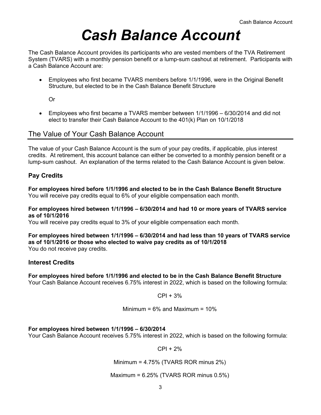## *Cash Balance Account*

The Cash Balance Account provides its participants who are vested members of the TVA Retirement System (TVARS) with a monthly pension benefit or a lump-sum cashout at retirement. Participants with a Cash Balance Account are:

 Employees who first became TVARS members before 1/1/1996, were in the Original Benefit Structure, but elected to be in the Cash Balance Benefit Structure

Or

 Employees who first became a TVARS member between 1/1/1996 – 6/30/2014 and did not elect to transfer their Cash Balance Account to the 401(k) Plan on 10/1/2018

### The Value of Your Cash Balance Account

The value of your Cash Balance Account is the sum of your pay credits, if applicable, plus interest credits. At retirement, this account balance can either be converted to a monthly pension benefit or a lump-sum cashout. An explanation of the terms related to the Cash Balance Account is given below.

#### **Pay Credits**

**For employees hired before 1/1/1996 and elected to be in the Cash Balance Benefit Structure** You will receive pay credits equal to 6% of your eligible compensation each month.

#### **For employees hired between 1/1/1996 – 6/30/2014 and had 10 or more years of TVARS service as of 10/1/2016**

You will receive pay credits equal to 3% of your eligible compensation each month.

#### **For employees hired between 1/1/1996 – 6/30/2014 and had less than 10 years of TVARS service as of 10/1/2016 or those who elected to waive pay credits as of 10/1/2018**  You do not receive pay credits.

#### **Interest Credits**

#### **For employees hired before 1/1/1996 and elected to be in the Cash Balance Benefit Structure**

Your Cash Balance Account receives 6.75% interest in 2022, which is based on the following formula:

 $CPI + 3%$ 

Minimum = 
$$
6\%
$$
 and Maximum =  $10\%$ 

#### **For employees hired between 1/1/1996 – 6/30/2014**

Your Cash Balance Account receives 5.75% interest in 2022, which is based on the following formula:

 $CPI + 2%$ 

Minimum = 4.75% (TVARS ROR minus 2%)

#### Maximum = 6.25% (TVARS ROR minus 0.5%)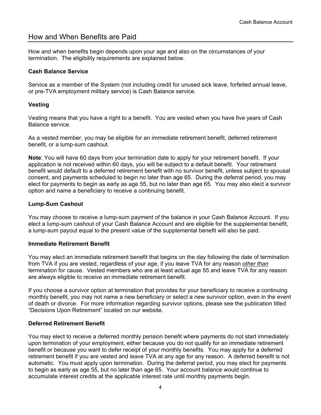### How and When Benefits are Paid

How and when benefits begin depends upon your age and also on the circumstances of your termination. The eligibility requirements are explained below.

#### **Cash Balance Service**

Service as a member of the System (not including credit for unused sick leave, forfeited annual leave, or pre-TVA employment military service) is Cash Balance service.

#### **Vesting**

Vesting means that you have a right to a benefit. You are vested when you have five years of Cash Balance service.

As a vested member, you may be eligible for an immediate retirement benefit, deferred retirement benefit, or a lump-sum cashout.

**Note**: You will have 60 days from your termination date to apply for your retirement benefit. If your application is not received within 60 days, you will be subject to a default benefit. Your retirement benefit would default to a deferred retirement benefit with no survivor benefit, unless subject to spousal consent, and payments scheduled to begin no later than age 65. During the deferral period, you may elect for payments to begin as early as age 55, but no later than age 65. You may also elect a survivor option and name a beneficiary to receive a continuing benefit.

#### **Lump-Sum Cashout**

You may choose to receive a lump-sum payment of the balance in your Cash Balance Account. If you elect a lump-sum cashout of your Cash Balance Account and are eligible for the supplemental benefit, a lump-sum payout equal to the present value of the supplemental benefit will also be paid.

#### **Immediate Retirement Benefit**

You may elect an immediate retirement benefit that begins on the day following the date of termination from TVA if you are vested, regardless of your age, if you leave TVA for any reason *other than* termination for cause. Vested members who are at least actual age 55 and leave TVA for any reason are always eligible to receive an immediate retirement benefit.

If you choose a survivor option at termination that provides for your beneficiary to receive a continuing monthly benefit, you may not name a new beneficiary or select a new survivor option, even in the event of death or divorce. For more information regarding survivor options, please see the publication titled "Decisions Upon Retirement" located on our website.

#### **Deferred Retirement Benefit**

You may elect to receive a deferred monthly pension benefit where payments do not start immediately upon termination of your employment, either because you do not qualify for an immediate retirement benefit or because you want to defer receipt of your monthly benefits. You may apply for a deferred retirement benefit if you are vested and leave TVA at any age for any reason. A deferred benefit is not automatic. You must apply upon termination. During the deferral period, you may elect for payments to begin as early as age 55, but no later than age 65. Your account balance would continue to accumulate interest credits at the applicable interest rate until monthly payments begin.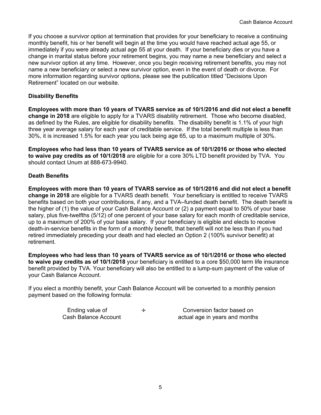If you choose a survivor option at termination that provides for your beneficiary to receive a continuing monthly benefit, his or her benefit will begin at the time you would have reached actual age 55, or immediately if you were already actual age 55 at your death. If your beneficiary dies or you have a change in marital status before your retirement begins, you may name a new beneficiary and select a new survivor option at any time. However, once you begin receiving retirement benefits, you may not name a new beneficiary or select a new survivor option, even in the event of death or divorce. For more information regarding survivor options, please see the publication titled "Decisions Upon Retirement" located on our website.

#### **Disability Benefits**

**Employees with more than 10 years of TVARS service as of 10/1/2016 and did not elect a benefit change in 2018** are eligible to apply for a TVARS disability retirement. Those who become disabled, as defined by the Rules, are eligible for disability benefits. The disability benefit is 1.1% of your high three year average salary for each year of creditable service. If the total benefit multiple is less than 30%, it is increased 1.5% for each year you lack being age 65, up to a maximum multiple of 30%.

**Employees who had less than 10 years of TVARS service as of 10/1/2016 or those who elected to waive pay credits as of 10/1/2018** are eligible for a core 30% LTD benefit provided by TVA. You should contact Unum at 888-673-9940.

#### **Death Benefits**

**Employees with more than 10 years of TVARS service as of 10/1/2016 and did not elect a benefit change in 2018** are eligible for a TVARS death benefit. Your beneficiary is entitled to receive TVARS benefits based on both your contributions, if any, and a TVA–funded death benefit. The death benefit is the higher of (1) the value of your Cash Balance Account or (2) a payment equal to 50% of your base salary, plus five-twelfths (5/12) of one percent of your base salary for each month of creditable service, up to a maximum of 200% of your base salary. If your beneficiary is eligible and elects to receive death-in-service benefits in the form of a monthly benefit, that benefit will not be less than if you had retired immediately preceding your death and had elected an Option 2 (100% survivor benefit) at retirement.

**Employees who had less than 10 years of TVARS service as of 10/1/2016 or those who elected to waive pay credits as of 10/1/2018** your beneficiary is entitled to a core \$50,000 term life insurance benefit provided by TVA. Your beneficiary will also be entitled to a lump-sum payment of the value of your Cash Balance Account.

If you elect a monthly benefit, your Cash Balance Account will be converted to a monthly pension payment based on the following formula:

| Ending value of      | ÷ |
|----------------------|---|
| Cash Balance Account |   |

Conversion factor based on actual age in years and months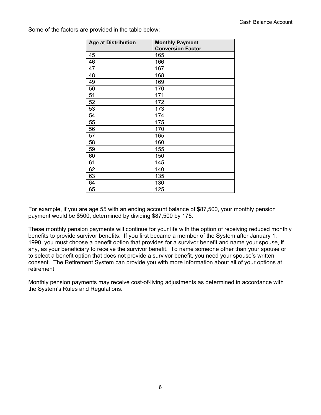| <b>Age at Distribution</b> | <b>Monthly Payment</b><br><b>Conversion Factor</b> |
|----------------------------|----------------------------------------------------|
| 45                         | 165                                                |
| 46                         | 166                                                |
| 47                         | 167                                                |
| 48                         | 168                                                |
| 49                         | 169                                                |
| 50                         | 170                                                |
| 51                         | 171                                                |
| 52                         | 172                                                |
| 53                         | 173                                                |
| 54                         | 174                                                |
| 55                         | 175                                                |
| 56                         | 170                                                |
| 57                         | 165                                                |
| 58                         | 160                                                |
| 59                         | 155                                                |
| 60                         | 150                                                |
| 61                         | 145                                                |
| 62                         | 140                                                |
| 63                         | 135                                                |
| 64                         | 130                                                |
| 65                         | 125                                                |

Some of the factors are provided in the table below:

For example, if you are age 55 with an ending account balance of \$87,500, your monthly pension payment would be \$500, determined by dividing \$87,500 by 175.

These monthly pension payments will continue for your life with the option of receiving reduced monthly benefits to provide survivor benefits. If you first became a member of the System after January 1, 1990, you must choose a benefit option that provides for a survivor benefit and name your spouse, if any, as your beneficiary to receive the survivor benefit. To name someone other than your spouse or to select a benefit option that does not provide a survivor benefit, you need your spouse's written consent. The Retirement System can provide you with more information about all of your options at retirement.

Monthly pension payments may receive cost-of-living adjustments as determined in accordance with the System's Rules and Regulations.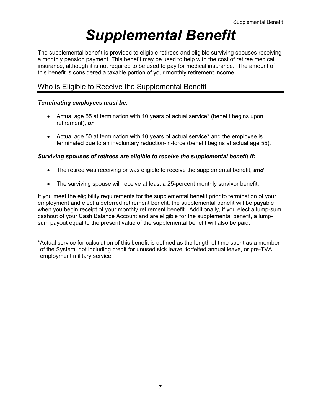## *Supplemental Benefit*

The supplemental benefit is provided to eligible retirees and eligible surviving spouses receiving a monthly pension payment. This benefit may be used to help with the cost of retiree medical insurance, although it is not required to be used to pay for medical insurance. The amount of this benefit is considered a taxable portion of your monthly retirement income.

## Who is Eligible to Receive the Supplemental Benefit

#### *Terminating employees must be:*

- Actual age 55 at termination with 10 years of actual service\* (benefit begins upon retirement), *or*
- Actual age 50 at termination with 10 years of actual service\* and the employee is terminated due to an involuntary reduction-in-force (benefit begins at actual age 55).

#### *Surviving spouses of retirees are eligible to receive the supplemental benefit if:*

- The retiree was receiving or was eligible to receive the supplemental benefit, *and*
- The surviving spouse will receive at least a 25-percent monthly survivor benefit.

If you meet the eligibility requirements for the supplemental benefit prior to termination of your employment and elect a deferred retirement benefit, the supplemental benefit will be payable when you begin receipt of your monthly retirement benefit. Additionally, if you elect a lump-sum cashout of your Cash Balance Account and are eligible for the supplemental benefit, a lumpsum payout equal to the present value of the supplemental benefit will also be paid.

\*Actual service for calculation of this benefit is defined as the length of time spent as a member of the System, not including credit for unused sick leave, forfeited annual leave, or pre-TVA employment military service.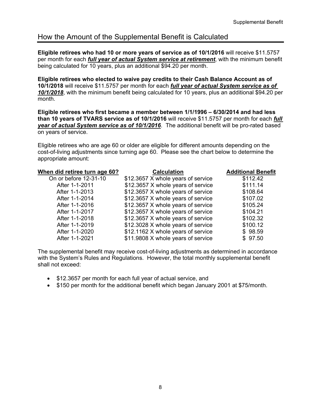## How the Amount of the Supplemental Benefit is Calculated

**Eligible retirees who had 10 or more years of service as of 10/1/2016** will receive \$11.5757 per month for each *full year of actual System service at retirement*, with the minimum benefit being calculated for 10 years, plus an additional \$94.20 per month.

**Eligible retirees who elected to waive pay credits to their Cash Balance Account as of 10/1/2018** will receive \$11.5757 per month for each *full year of actual System service as of 10/1/2018*, with the minimum benefit being calculated for 10 years, plus an additional \$94.20 per month.

**Eligible retirees who first became a member between 1/1/1996 – 6/30/2014 and had less than 10 years of TVARS service as of 10/1/2016** will receive \$11.5757 per month for each *full year of actual System service as of 10/1/2016*. The additional benefit will be pro-rated based on years of service.

Eligible retirees who are age 60 or older are eligible for different amounts depending on the cost-of-living adjustments since turning age 60. Please see the chart below to determine the appropriate amount:

| When did retiree turn age 60? | <b>Calculation</b>                 | <b>Additional Benefit</b> |
|-------------------------------|------------------------------------|---------------------------|
| On or before 12-31-10         | \$12.3657 X whole years of service | \$112.42                  |
| After 1-1-2011                | \$12.3657 X whole years of service | \$111.14                  |
| After 1-1-2013                | \$12.3657 X whole years of service | \$108.64                  |
| After 1-1-2014                | \$12.3657 X whole years of service | \$107.02                  |
| After 1-1-2016                | \$12.3657 X whole years of service | \$105.24                  |
| After 1-1-2017                | \$12.3657 X whole years of service | \$104.21                  |
| After 1-1-2018                | \$12.3657 X whole years of service | \$102.32                  |
| After 1-1-2019                | \$12.3028 X whole years of service | \$100.12                  |
| After 1-1-2020                | \$12.1162 X whole years of service | \$98.59                   |
| After 1-1-2021                | \$11.9808 X whole years of service | \$97.50                   |

The supplemental benefit may receive cost-of-living adjustments as determined in accordance with the System's Rules and Regulations. However, the total monthly supplemental benefit shall not exceed:

- \$12.3657 per month for each full year of actual service, and
- \$150 per month for the additional benefit which began January 2001 at \$75/month.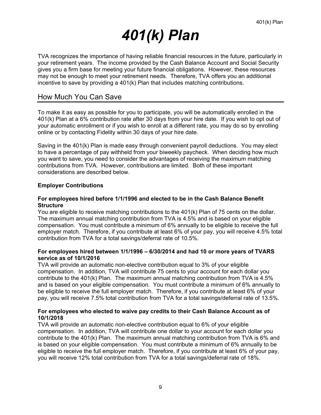## *401(k) Plan*

TVA recognizes the importance of having reliable financial resources in the future, particularly in your retirement years. The income provided by the Cash Balance Account and Social Security gives you a firm base for meeting your future financial obligations. However, these resources may not be enough to meet your retirement needs. Therefore, TVA offers you an additional incentive to save by providing a 401(k) Plan that includes matching contributions.

### How Much You Can Save

To make it as easy as possible for you to participate, you will be automatically enrolled in the 401(k) Plan at a 6% contribution rate after 30 days from your hire date. If you wish to opt out of your automatic enrollment or if you wish to enroll at a different rate, you may do so by enrolling online or by contacting Fidelity within 30 days of your hire date.

Saving in the 401(k) Plan is made easy through convenient payroll deductions. You may elect to have a percentage of pay withheld from your biweekly paycheck. When deciding how much you want to save, you need to consider the advantages of receiving the maximum matching contributions from TVA. However, contributions are limited. Both of these important considerations are described below.

#### **Employer Contributions**

#### **For employees hired before 1/1/1996 and elected to be in the Cash Balance Benefit Structure**

You are eligible to receive matching contributions to the 401(k) Plan of 75 cents on the dollar. The maximum annual matching contribution from TVA is 4.5% and is based on your eligible compensation. You must contribute a minimum of 6% annually to be eligible to receive the full employer match. Therefore, if you contribute at least 6% of your pay, you will receive 4.5% total contribution from TVA for a total savings/deferral rate of 10.5%.

#### **For employees hired between 1/1/1996 – 6/30/2014 and had 10 or more years of TVARS service as of 10/1/2016**

TVA will provide an automatic non-elective contribution equal to 3% of your eligible compensation. In addition, TVA will contribute 75 cents to your account for each dollar you contribute to the 401(k) Plan. The maximum annual matching contribution from TVA is 4.5% and is based on your eligible compensation. You must contribute a minimum of 6% annually to be eligible to receive the full employer match. Therefore, if you contribute at least 6% of your pay, you will receive 7.5% total contribution from TVA for a total savings/deferral rate of 13.5%.

#### **For employees who elected to waive pay credits to their Cash Balance Account as of 10/1/2018**

TVA will provide an automatic non-elective contribution equal to 6% of your eligible compensation. In addition, TVA will contribute one dollar to your account for each dollar you contribute to the 401(k) Plan. The maximum annual matching contribution from TVA is 6% and is based on your eligible compensation. You must contribute a minimum of 6% annually to be eligible to receive the full employer match. Therefore, if you contribute at least 6% of your pay, you will receive 12% total contribution from TVA for a total savings/deferral rate of 18%.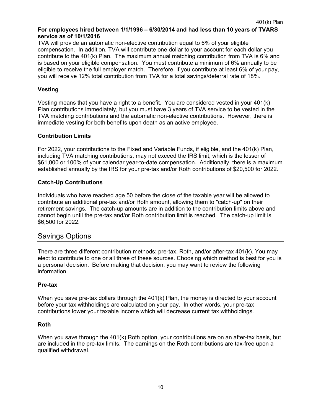#### **For employees hired between 1/1/1996 – 6/30/2014 and had less than 10 years of TVARS service as of 10/1/2016**

TVA will provide an automatic non-elective contribution equal to 6% of your eligible compensation. In addition, TVA will contribute one dollar to your account for each dollar you contribute to the 401(k) Plan. The maximum annual matching contribution from TVA is 6% and is based on your eligible compensation. You must contribute a minimum of 6% annually to be eligible to receive the full employer match. Therefore, if you contribute at least 6% of your pay, you will receive 12% total contribution from TVA for a total savings/deferral rate of 18%.

#### **Vesting**

Vesting means that you have a right to a benefit. You are considered vested in your 401(k) Plan contributions immediately, but you must have 3 years of TVA service to be vested in the TVA matching contributions and the automatic non-elective contributions. However, there is immediate vesting for both benefits upon death as an active employee.

#### **Contribution Limits**

For 2022, your contributions to the Fixed and Variable Funds, if eligible, and the 401(k) Plan, including TVA matching contributions, may not exceed the IRS limit, which is the lesser of \$61,000 or 100% of your calendar year-to-date compensation. Additionally, there is a maximum established annually by the IRS for your pre-tax and/or Roth contributions of \$20,500 for 2022.

#### **Catch-Up Contributions**

Individuals who have reached age 50 before the close of the taxable year will be allowed to contribute an additional pre-tax and/or Roth amount, allowing them to "catch-up" on their retirement savings. The catch-up amounts are in addition to the contribution limits above and cannot begin until the pre-tax and/or Roth contribution limit is reached. The catch-up limit is \$6,500 for 2022.

### Savings Options

There are three different contribution methods: pre-tax, Roth, and/or after-tax 401(k). You may elect to contribute to one or all three of these sources. Choosing which method is best for you is a personal decision. Before making that decision, you may want to review the following information.

#### **Pre-tax**

When you save pre-tax dollars through the 401(k) Plan, the money is directed to your account before your tax withholdings are calculated on your pay. In other words, your pre-tax contributions lower your taxable income which will decrease current tax withholdings.

#### **Roth**

When you save through the 401(k) Roth option, your contributions are on an after-tax basis, but are included in the pre-tax limits. The earnings on the Roth contributions are tax-free upon a qualified withdrawal.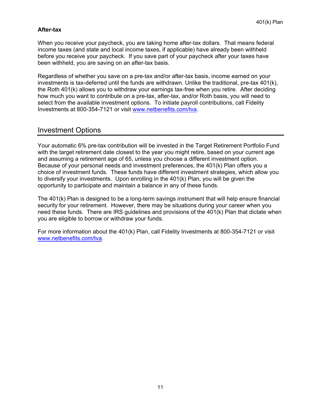#### **After-tax**

When you receive your paycheck, you are taking home after-tax dollars. That means federal income taxes (and state and local income taxes, if applicable) have already been withheld before you receive your paycheck. If you save part of your paycheck after your taxes have been withheld, you are saving on an after-tax basis.

Regardless of whether you save on a pre-tax and/or after-tax basis, income earned on your investments is tax-deferred until the funds are withdrawn. Unlike the traditional, pre-tax 401(k), the Roth 401(k) allows you to withdraw your earnings tax-free when you retire. After deciding how much you want to contribute on a pre-tax, after-tax, and/or Roth basis, you will need to select from the available investment options. To initiate payroll contributions, call Fidelity Investments at 800-354-7121 or visit www.netbenefits.com/tva.

### Investment Options

Your automatic 6% pre-tax contribution will be invested in the Target Retirement Portfolio Fund with the target retirement date closest to the year you might retire, based on your current age and assuming a retirement age of 65, unless you choose a different investment option. Because of your personal needs and investment preferences, the 401(k) Plan offers you a choice of investment funds. These funds have different investment strategies, which allow you to diversify your investments. Upon enrolling in the 401(k) Plan, you will be given the opportunity to participate and maintain a balance in any of these funds.

The 401(k) Plan is designed to be a long-term savings instrument that will help ensure financial security for your retirement. However, there may be situations during your career when you need these funds. There are IRS guidelines and provisions of the 401(k) Plan that dictate when you are eligible to borrow or withdraw your funds.

For more information about the 401(k) Plan, call Fidelity Investments at 800-354-7121 or visit www.netbenefits.com/tva.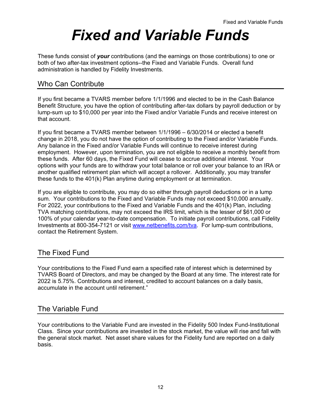## *Fixed and Variable Funds*

These funds consist of *your* contributions (and the earnings on those contributions) to one or both of two after-tax investment options--the Fixed and Variable Funds. Overall fund administration is handled by Fidelity Investments.

## Who Can Contribute

If you first became a TVARS member before 1/1/1996 and elected to be in the Cash Balance Benefit Structure, you have the option of contributing after-tax dollars by payroll deduction or by lump-sum up to \$10,000 per year into the Fixed and/or Variable Funds and receive interest on that account.

If you first became a TVARS member between 1/1/1996 – 6/30/2014 or elected a benefit change in 2018, you do not have the option of contributing to the Fixed and/or Variable Funds. Any balance in the Fixed and/or Variable Funds will continue to receive interest during employment. However, upon termination, you are not eligible to receive a monthly benefit from these funds. After 60 days, the Fixed Fund will cease to accrue additional interest. Your options with your funds are to withdraw your total balance or roll over your balance to an IRA or another qualified retirement plan which will accept a rollover. Additionally, you may transfer these funds to the 401(k) Plan anytime during employment or at termination.

If you are eligible to contribute, you may do so either through payroll deductions or in a lump sum. Your contributions to the Fixed and Variable Funds may not exceed \$10,000 annually. For 2022, your contributions to the Fixed and Variable Funds and the 401(k) Plan, including TVA matching contributions, may not exceed the IRS limit, which is the lesser of \$61,000 or 100% of your calendar year-to-date compensation. To initiate payroll contributions, call Fidelity Investments at 800-354-7121 or visit www.netbenefits.com/tva. For lump-sum contributions, contact the Retirement System.

## The Fixed Fund

Your contributions to the Fixed Fund earn a specified rate of interest which is determined by TVARS Board of Directors, and may be changed by the Board at any time. The interest rate for 2022 is 5.75%. Contributions and interest, credited to account balances on a daily basis, accumulate in the account until retirement."

### The Variable Fund

Your contributions to the Variable Fund are invested in the Fidelity 500 Index Fund-Institutional Class. Since your contributions are invested in the stock market, the value will rise and fall with the general stock market. Net asset share values for the Fidelity fund are reported on a daily basis.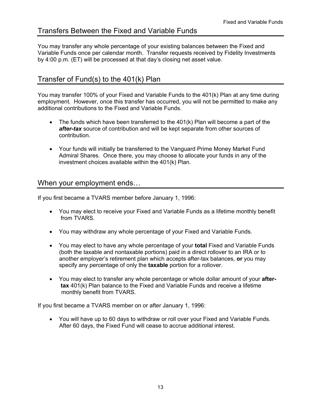## Transfers Between the Fixed and Variable Funds

You may transfer any whole percentage of your existing balances between the Fixed and Variable Funds once per calendar month. Transfer requests received by Fidelity Investments by 4:00 p.m. (ET) will be processed at that day's closing net asset value.

## Transfer of Fund(s) to the 401(k) Plan

You may transfer 100% of your Fixed and Variable Funds to the 401(k) Plan at any time during employment. However, once this transfer has occurred, you will not be permitted to make any additional contributions to the Fixed and Variable Funds.

- The funds which have been transferred to the 401(k) Plan will become a part of the *after-tax* source of contribution and will be kept separate from other sources of contribution.
- Your funds will initially be transferred to the Vanguard Prime Money Market Fund Admiral Shares. Once there, you may choose to allocate your funds in any of the investment choices available within the 401(k) Plan.

### When your employment ends…

If you first became a TVARS member before January 1, 1996:

- You may elect to receive your Fixed and Variable Funds as a lifetime monthly benefit from TVARS.
- You may withdraw any whole percentage of your Fixed and Variable Funds.
- You may elect to have any whole percentage of your **total** Fixed and Variable Funds (both the taxable and nontaxable portions) paid in a direct rollover to an IRA or to another employer's retirement plan which accepts after-tax balances, **or** you may specify any percentage of only the **taxable** portion for a rollover.
- You may elect to transfer any whole percentage or whole dollar amount of your **after tax** 401(k) Plan balance to the Fixed and Variable Funds and receive a lifetime monthly benefit from TVARS.

If you first became a TVARS member on or after January 1, 1996:

 You will have up to 60 days to withdraw or roll over your Fixed and Variable Funds. After 60 days, the Fixed Fund will cease to accrue additional interest.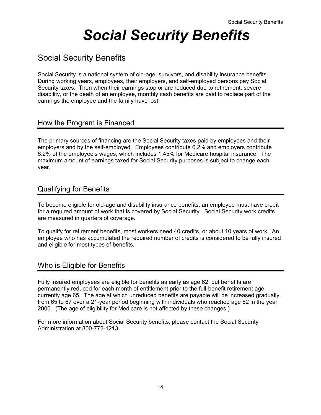## *Social Security Benefits*

## Social Security Benefits

Social Security is a national system of old-age, survivors, and disability insurance benefits. During working years, employees, their employers, and self-employed persons pay Social Security taxes. Then when their earnings stop or are reduced due to retirement, severe disability, or the death of an employee, monthly cash benefits are paid to replace part of the earnings the employee and the family have lost.

### How the Program is Financed

The primary sources of financing are the Social Security taxes paid by employees and their employers and by the self-employed. Employees contribute 6.2% and employers contribute 6.2% of the employee's wages, which includes 1.45% for Medicare hospital insurance. The maximum amount of earnings taxed for Social Security purposes is subject to change each year.

## Qualifying for Benefits

To become eligible for old-age and disability insurance benefits, an employee must have credit for a required amount of work that is covered by Social Security. Social Security work credits are measured in quarters of coverage.

To qualify for retirement benefits, most workers need 40 credits, or about 10 years of work. An employee who has accumulated the required number of credits is considered to be fully insured and eligible for most types of benefits.

## Who is Eligible for Benefits

Fully insured employees are eligible for benefits as early as age 62, but benefits are permanently reduced for each month of entitlement prior to the full-benefit retirement age, currently age 65. The age at which unreduced benefits are payable will be increased gradually from 65 to 67 over a 21-year period beginning with individuals who reached age 62 in the year 2000. (The age of eligibility for Medicare is not affected by these changes.)

For more information about Social Security benefits, please contact the Social Security Administration at 800-772-1213.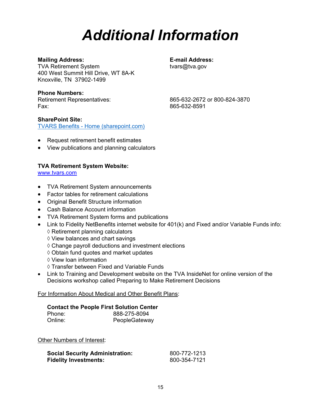## *Additional Information*

#### **Mailing Address: E-mail Address:**

TVA Retirement System tvars@tva.gov 400 West Summit Hill Drive, WT 8A-K Knoxville, TN 37902-1499

#### **Phone Numbers:**

Fax: 865-632-8591

Retirement Representatives: 865-632-2672 or 800-824-3870

#### **SharePoint Site:**

[TVARS Benefits - Home \(sharepoint.com\)](https://tvacloud.sharepoint.com/sites/tvarsben/)

- Request retirement benefit estimates
- View publications and planning calculators

#### **TVA Retirement System Website:**

www.tvars.com

- TVA Retirement System announcements
- Factor tables for retirement calculations
- Original Benefit Structure information
- Cash Balance Account information
- TVA Retirement System forms and publications
- Link to Fidelity NetBenefits internet website for 401(k) and Fixed and/or Variable Funds info:  $\diamond$  Retirement planning calculators
	- $\diamond$  View balances and chart savings
	- $\Diamond$  Change payroll deductions and investment elections
	- Obtain fund quotes and market updates
	- $\Diamond$  View loan information
	- $\Diamond$  Transfer between Fixed and Variable Funds
- Link to Training and Development website on the TVA InsideNet for online version of the Decisions workshop called Preparing to Make Retirement Decisions

#### For Information About Medical and Other Benefit Plans:

#### **Contact the People First Solution Center**

| Phone:  | 888-275-8094  |
|---------|---------------|
| Online: | PeopleGateway |

Other Numbers of Interest:

| <b>Social Security Administration:</b> | 800-772-1213 |
|----------------------------------------|--------------|
| <b>Fidelity Investments:</b>           | 800-354-7121 |